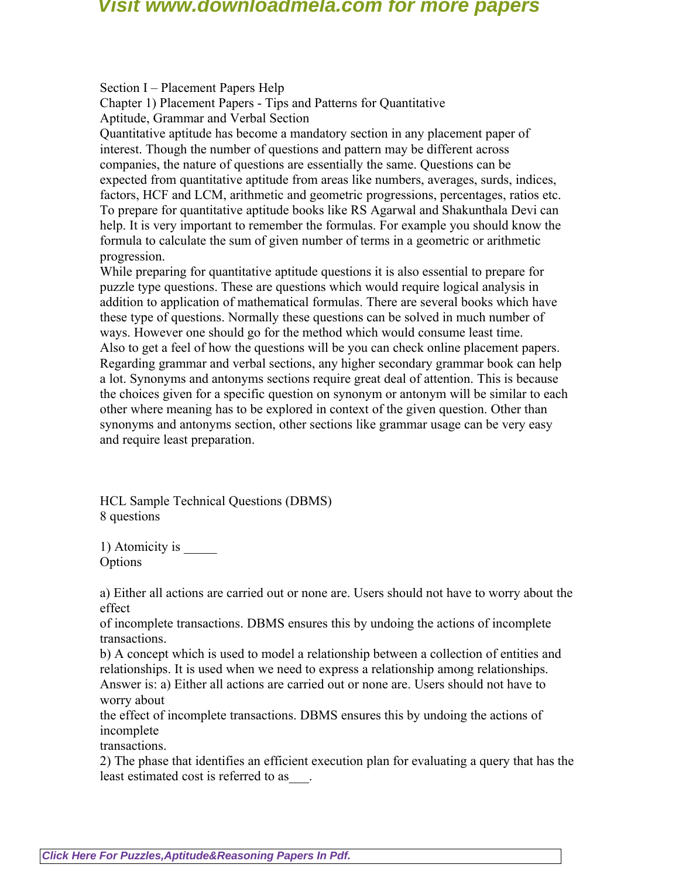Section I – Placement Papers Help

Chapter 1) Placement Papers - Tips and Patterns for Quantitative

Aptitude, Grammar and Verbal Section

Quantitative aptitude has become a mandatory section in any placement paper of interest. Though the number of questions and pattern may be different across companies, the nature of questions are essentially the same. Questions can be expected from quantitative aptitude from areas like numbers, averages, surds, indices, factors, HCF and LCM, arithmetic and geometric progressions, percentages, ratios etc. To prepare for quantitative aptitude books like RS Agarwal and Shakunthala Devi can help. It is very important to remember the formulas. For example you should know the formula to calculate the sum of given number of terms in a geometric or arithmetic progression.

While preparing for quantitative aptitude questions it is also essential to prepare for puzzle type questions. These are questions which would require logical analysis in addition to application of mathematical formulas. There are several books which have these type of questions. Normally these questions can be solved in much number of ways. However one should go for the method which would consume least time. Also to get a feel of how the questions will be you can check online placement papers. Regarding grammar and verbal sections, any higher secondary grammar book can help a lot. Synonyms and antonyms sections require great deal of attention. This is because the choices given for a specific question on synonym or antonym will be similar to each other where meaning has to be explored in context of the given question. Other than synonyms and antonyms section, other sections like grammar usage can be very easy and require least preparation.

HCL Sample Technical Questions (DBMS) 8 questions

1) Atomicity is  $\qquad$ **Options** 

a) Either all actions are carried out or none are. Users should not have to worry about the effect

of incomplete transactions. DBMS ensures this by undoing the actions of incomplete transactions.

b) A concept which is used to model a relationship between a collection of entities and relationships. It is used when we need to express a relationship among relationships. Answer is: a) Either all actions are carried out or none are. Users should not have to worry about

the effect of incomplete transactions. DBMS ensures this by undoing the actions of incomplete

transactions.

2) The phase that identifies an efficient execution plan for evaluating a query that has the least estimated cost is referred to as\_\_\_.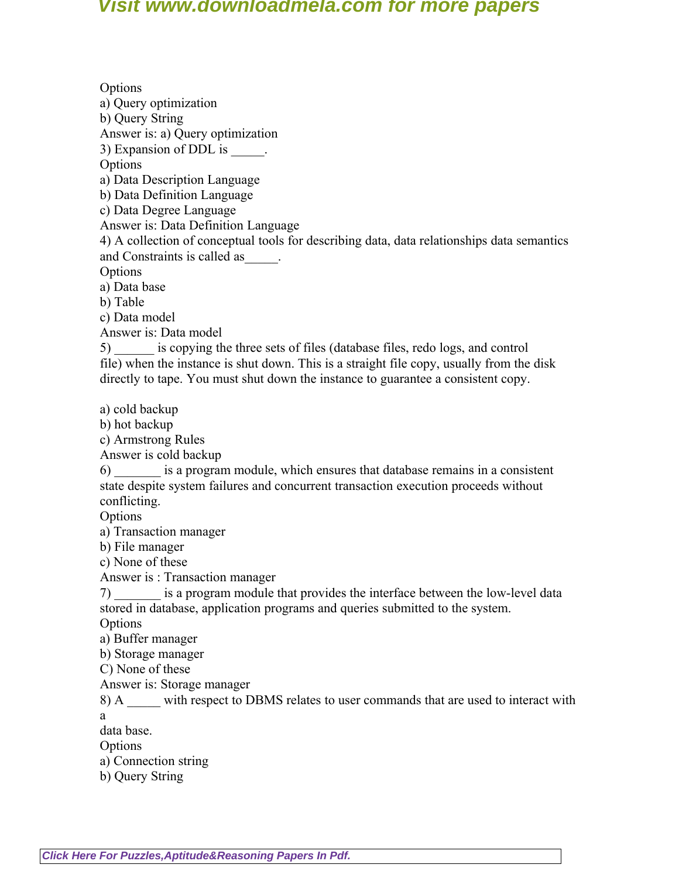**Options** a) Query optimization b) Query String Answer is: a) Query optimization 3) Expansion of DDL is  $\qquad \qquad$ **Options** a) Data Description Language b) Data Definition Language c) Data Degree Language Answer is: Data Definition Language 4) A collection of conceptual tools for describing data, data relationships data semantics and Constraints is called as\_\_\_\_\_. **Options** a) Data base b) Table c) Data model Answer is: Data model 5) \_\_\_\_\_\_ is copying the three sets of files (database files, redo logs, and control file) when the instance is shut down. This is a straight file copy, usually from the disk directly to tape. You must shut down the instance to guarantee a consistent copy. a) cold backup b) hot backup c) Armstrong Rules Answer is cold backup 6) \_\_\_\_\_\_\_ is a program module, which ensures that database remains in a consistent state despite system failures and concurrent transaction execution proceeds without conflicting. **Options** a) Transaction manager b) File manager c) None of these Answer is : Transaction manager 7) is a program module that provides the interface between the low-level data stored in database, application programs and queries submitted to the system. **Options** a) Buffer manager b) Storage manager C) None of these Answer is: Storage manager 8) A with respect to DBMS relates to user commands that are used to interact with a data base. **Options** a) Connection string

b) Query String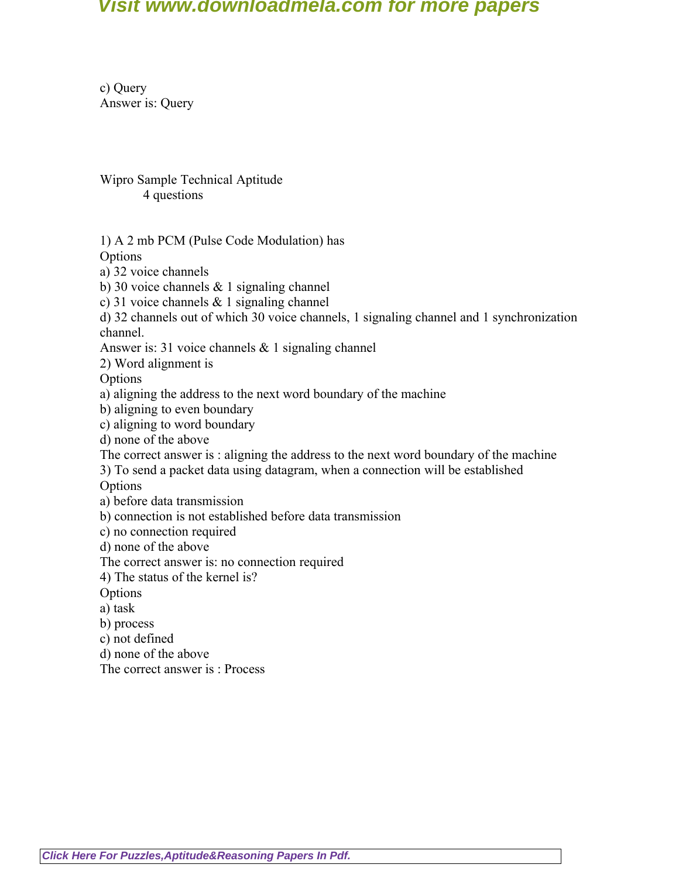c) Query Answer is: Query

Wipro Sample Technical Aptitude 4 questions

1) A 2 mb PCM (Pulse Code Modulation) has

**Options** 

- a) 32 voice channels
- b) 30 voice channels & 1 signaling channel
- c) 31 voice channels & 1 signaling channel

d) 32 channels out of which 30 voice channels, 1 signaling channel and 1 synchronization channel.

Answer is: 31 voice channels & 1 signaling channel

2) Word alignment is

**Options** 

a) aligning the address to the next word boundary of the machine

b) aligning to even boundary

c) aligning to word boundary

d) none of the above

The correct answer is : aligning the address to the next word boundary of the machine

3) To send a packet data using datagram, when a connection will be established

**Options** 

a) before data transmission

b) connection is not established before data transmission

c) no connection required

d) none of the above

The correct answer is: no connection required

4) The status of the kernel is?

**Options** 

a) task

b) process

c) not defined

d) none of the above

The correct answer is : Process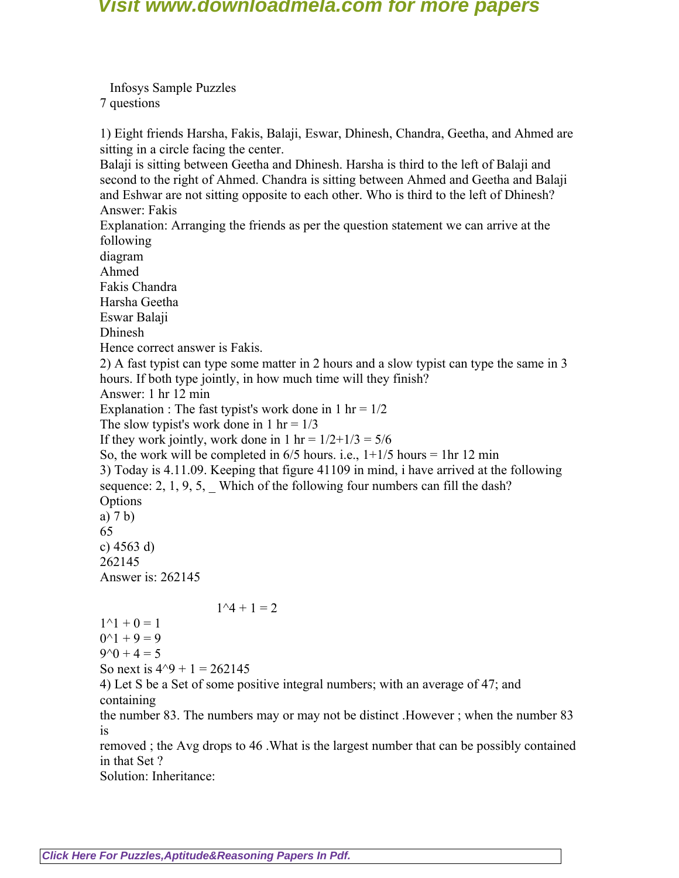Infosys Sample Puzzles 7 questions

1) Eight friends Harsha, Fakis, Balaji, Eswar, Dhinesh, Chandra, Geetha, and Ahmed are sitting in a circle facing the center.

Balaji is sitting between Geetha and Dhinesh. Harsha is third to the left of Balaji and second to the right of Ahmed. Chandra is sitting between Ahmed and Geetha and Balaji and Eshwar are not sitting opposite to each other. Who is third to the left of Dhinesh? Answer: Fakis

Explanation: Arranging the friends as per the question statement we can arrive at the following

diagram

Ahmed

Fakis Chandra

Harsha Geetha

Eswar Balaji

Dhinesh

Hence correct answer is Fakis.

2) A fast typist can type some matter in 2 hours and a slow typist can type the same in 3 hours. If both type jointly, in how much time will they finish?

Answer: 1 hr 12 min

Explanation : The fast typist's work done in  $1 \text{ hr} = 1/2$ 

The slow typist's work done in 1 hr =  $1/3$ 

If they work jointly, work done in  $1 \text{ hr} = 1/2+1/3 = 5/6$ 

So, the work will be completed in  $6/5$  hours. i.e.,  $1+1/5$  hours = 1hr 12 min 3) Today is 4.11.09. Keeping that figure 41109 in mind, i have arrived at the following sequence:  $2, 1, 9, 5$ , Which of the following four numbers can fill the dash? **Options** a) 7 b) 65 c) 4563 d) 262145 Answer is: 262145

### $1^{\wedge}4 + 1 = 2$

 $1^{\wedge}1 + 0 = 1$  $0^{\wedge}1 + 9 = 9$  $9^0 + 4 = 5$ So next is  $4^{\text{4}}$  + 1 = 262145 4) Let S be a Set of some positive integral numbers; with an average of 47; and containing the number 83. The numbers may or may not be distinct .However ; when the number 83 is

removed ; the Avg drops to 46 .What is the largest number that can be possibly contained in that Set ?

Solution: Inheritance: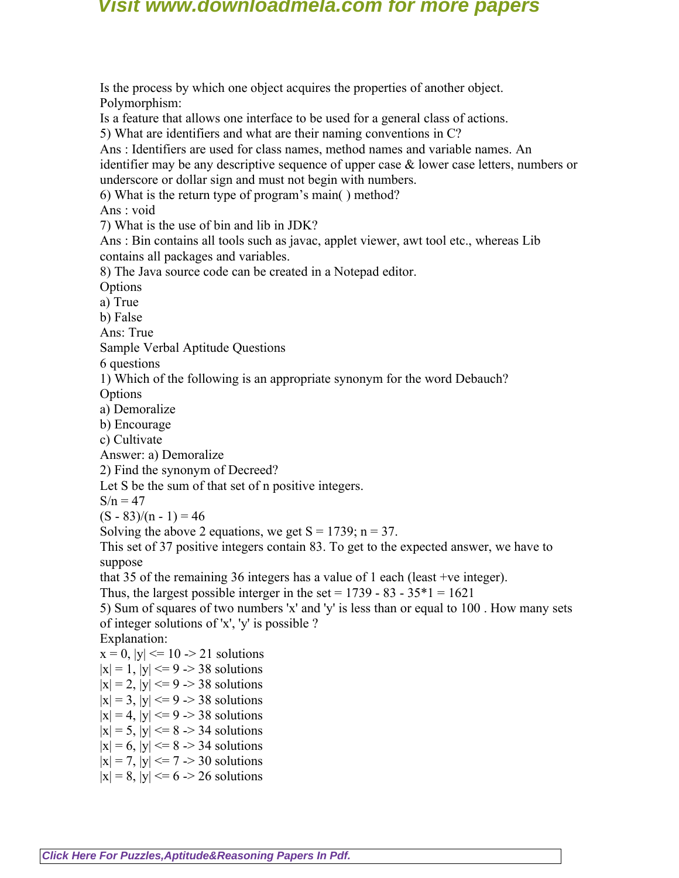Is the process by which one object acquires the properties of another object. Polymorphism: Is a feature that allows one interface to be used for a general class of actions. 5) What are identifiers and what are their naming conventions in C? Ans : Identifiers are used for class names, method names and variable names. An identifier may be any descriptive sequence of upper case  $\&$  lower case letters, numbers or underscore or dollar sign and must not begin with numbers. 6) What is the return type of program's main( ) method? Ans : void 7) What is the use of bin and lib in JDK? Ans : Bin contains all tools such as javac, applet viewer, awt tool etc., whereas Lib contains all packages and variables. 8) The Java source code can be created in a Notepad editor. **Options** a) True b) False Ans: True Sample Verbal Aptitude Questions 6 questions 1) Which of the following is an appropriate synonym for the word Debauch? **Options** a) Demoralize b) Encourage c) Cultivate Answer: a) Demoralize 2) Find the synonym of Decreed? Let S be the sum of that set of n positive integers.  $S/n = 47$  $(S - 83)/(n - 1) = 46$ Solving the above 2 equations, we get  $S = 1739$ ; n = 37. This set of 37 positive integers contain 83. To get to the expected answer, we have to suppose that 35 of the remaining 36 integers has a value of 1 each (least +ve integer). Thus, the largest possible interger in the set =  $1739 - 83 - 35 \times 1 = 1621$ 5) Sum of squares of two numbers 'x' and 'y' is less than or equal to 100 . How many sets of integer solutions of 'x', 'y' is possible ? Explanation:  $x = 0$ ,  $|y| \le 10 \ge 21$  solutions

 $|x| = 1$ ,  $|y| \le 9$  -> 38 solutions  $|x| = 2$ ,  $|y| \le 9$  -> 38 solutions  $|x| = 3$ ,  $|y| \le 9$  -> 38 solutions

- $|x| = 4$ ,  $|y| \le 9$  -> 38 solutions
- $|x| = 5$ ,  $|y| \le 8 > 34$  solutions
- $|x| = 6$ ,  $|y| \le 8 > 34$  solutions
- $|x| = 7$ ,  $|y| \le 7$  -> 30 solutions
- $|x| = 8$ ,  $|y| \le 6$  -> 26 solutions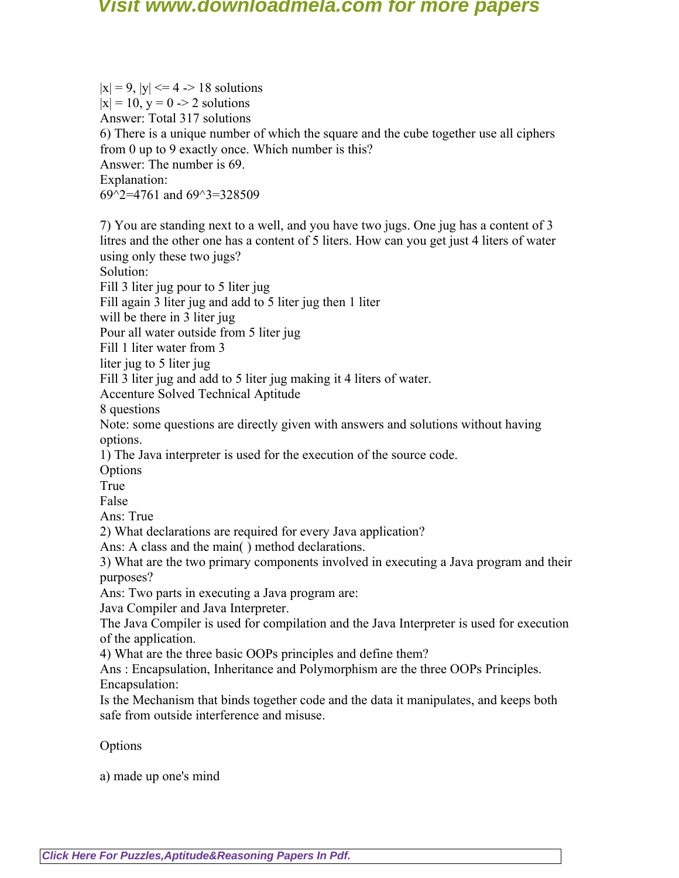$|x| = 9$ ,  $|y| \le 4$  -> 18 solutions  $|x| = 10$ ,  $y = 0 \rightarrow 2$  solutions Answer: Total 317 solutions 6) There is a unique number of which the square and the cube together use all ciphers from 0 up to 9 exactly once. Which number is this? Answer: The number is 69. Explanation: 69 $\textdegree$ 2=4761 and 69 $\textdegree$ 3=328509 7) You are standing next to a well, and you have two jugs. One jug has a content of 3 litres and the other one has a content of 5 liters. How can you get just 4 liters of water using only these two jugs? Solution: Fill 3 liter jug pour to 5 liter jug Fill again 3 liter jug and add to 5 liter jug then 1 liter will be there in 3 liter jug Pour all water outside from 5 liter jug Fill 1 liter water from 3

liter jug to 5 liter jug

Fill 3 liter jug and add to 5 liter jug making it 4 liters of water.

Accenture Solved Technical Aptitude

8 questions

Note: some questions are directly given with answers and solutions without having options.

1) The Java interpreter is used for the execution of the source code.

**Options** 

True

False

Ans: True

2) What declarations are required for every Java application?

Ans: A class and the main( ) method declarations.

3) What are the two primary components involved in executing a Java program and their purposes?

Ans: Two parts in executing a Java program are:

Java Compiler and Java Interpreter.

The Java Compiler is used for compilation and the Java Interpreter is used for execution of the application.

4) What are the three basic OOPs principles and define them?

Ans : Encapsulation, Inheritance and Polymorphism are the three OOPs Principles. Encapsulation:

Is the Mechanism that binds together code and the data it manipulates, and keeps both safe from outside interference and misuse.

**Options** 

a) made up one's mind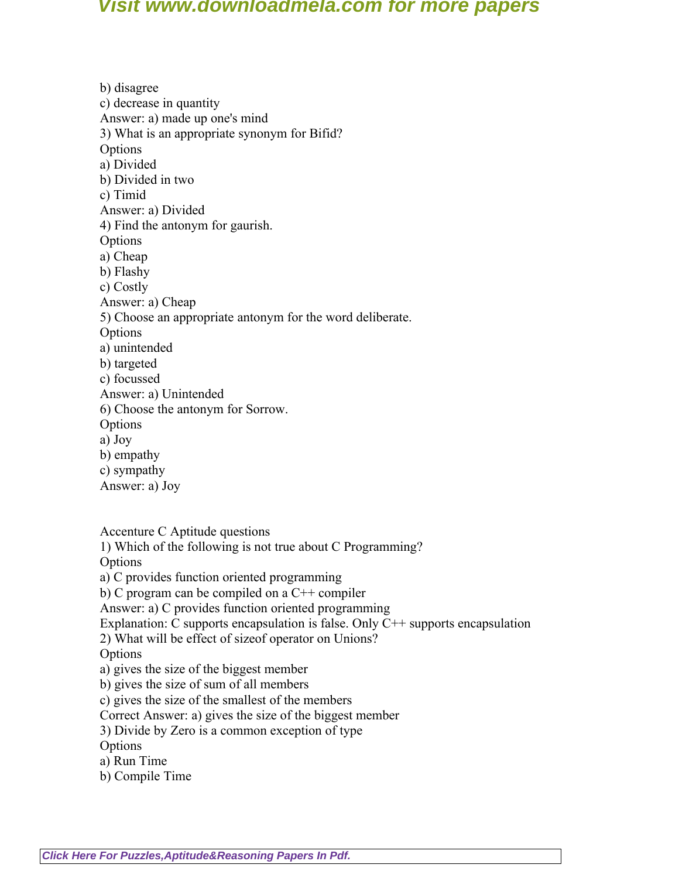b) disagree c) decrease in quantity Answer: a) made up one's mind 3) What is an appropriate synonym for Bifid? **Options** a) Divided b) Divided in two c) Timid Answer: a) Divided 4) Find the antonym for gaurish. **Options** a) Cheap b) Flashy c) Costly Answer: a) Cheap 5) Choose an appropriate antonym for the word deliberate. **Options** a) unintended b) targeted c) focussed Answer: a) Unintended 6) Choose the antonym for Sorrow. **Options** a) Joy b) empathy c) sympathy Answer: a) Joy

Accenture C Aptitude questions

1) Which of the following is not true about C Programming? **Options** 

a) C provides function oriented programming

b) C program can be compiled on a C++ compiler

Answer: a) C provides function oriented programming

Explanation: C supports encapsulation is false. Only  $C++$  supports encapsulation

2) What will be effect of sizeof operator on Unions?

**Options** 

a) gives the size of the biggest member

b) gives the size of sum of all members

c) gives the size of the smallest of the members

Correct Answer: a) gives the size of the biggest member

3) Divide by Zero is a common exception of type

**Options** 

a) Run Time

b) Compile Time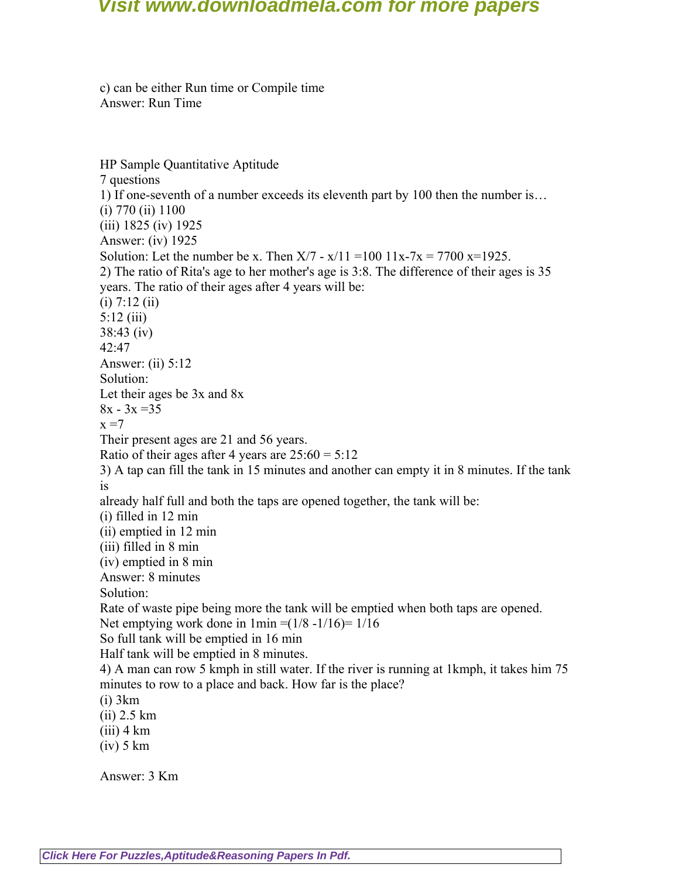c) can be either Run time or Compile time Answer: Run Time

HP Sample Quantitative Aptitude 7 questions 1) If one-seventh of a number exceeds its eleventh part by 100 then the number is… (i) 770 (ii) 1100 (iii) 1825 (iv) 1925 Answer: (iv) 1925 Solution: Let the number be x. Then  $X/7 - x/11 = 100$   $11x - 7x = 7700$   $x=1925$ . 2) The ratio of Rita's age to her mother's age is 3:8. The difference of their ages is 35 years. The ratio of their ages after 4 years will be:  $(i)$  7:12  $(ii)$ 5:12 (iii) 38:43 (iv) 42:47 Answer: (ii) 5:12 Solution: Let their ages be 3x and 8x  $8x - 3x = 35$  $x = 7$ Their present ages are 21 and 56 years. Ratio of their ages after 4 years are  $25:60 = 5:12$ 3) A tap can fill the tank in 15 minutes and another can empty it in 8 minutes. If the tank is already half full and both the taps are opened together, the tank will be: (i) filled in 12 min (ii) emptied in 12 min (iii) filled in 8 min (iv) emptied in 8 min Answer: 8 minutes Solution: Rate of waste pipe being more the tank will be emptied when both taps are opened. Net emptying work done in  $1 \text{min} = (1/8 - 1/16) = 1/16$ So full tank will be emptied in 16 min Half tank will be emptied in 8 minutes. 4) A man can row 5 kmph in still water. If the river is running at 1kmph, it takes him 75 minutes to row to a place and back. How far is the place? (i) 3km (ii) 2.5 km  $(iii)$  4 km  $(iv)$  5 km Answer: 3 Km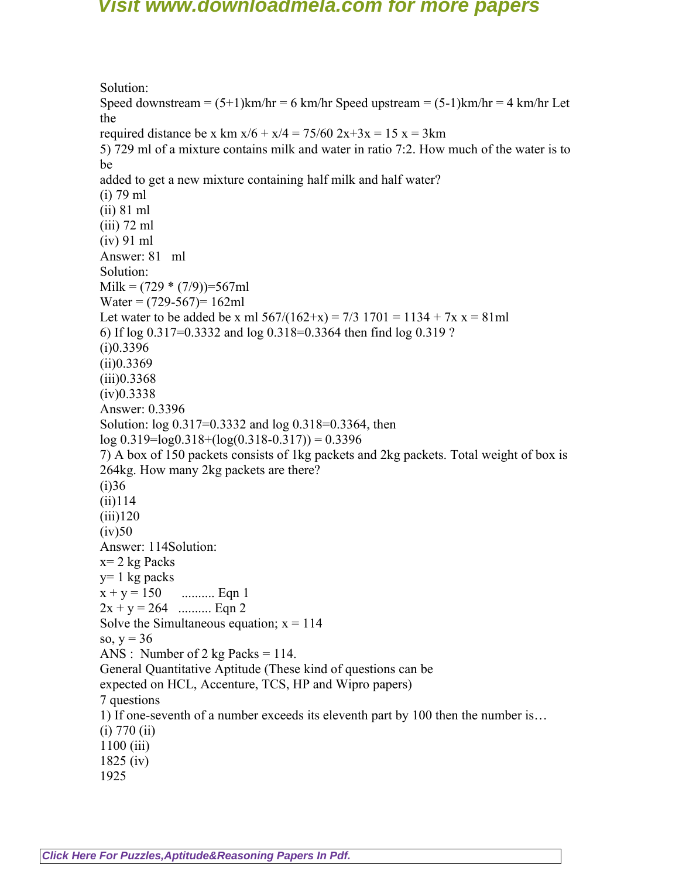Solution: Speed downstream =  $(5+1)$ km/hr = 6 km/hr Speed upstream =  $(5-1)$ km/hr = 4 km/hr Let the required distance be x km  $x/6 + x/4 = 75/60$   $2x+3x = 15$  x = 3km 5) 729 ml of a mixture contains milk and water in ratio 7:2. How much of the water is to be added to get a new mixture containing half milk and half water? (i) 79 ml (ii) 81 ml (iii) 72 ml (iv) 91 ml Answer: 81 ml Solution:  $Milk = (729 * (7/9))=567ml$ Water =  $(729-567)$ = 162ml Let water to be added be x ml  $567/(162+x) = 7/3$  1701 = 1134 + 7x x = 81ml 6) If log 0.317=0.3332 and log 0.318=0.3364 then find log 0.319 ?  $(i)0.3396$  $(ii)0.3369$  $(iii)0.3368$  $(iv)0.3338$ Answer: 0.3396 Solution: log 0.317=0.3332 and log 0.318=0.3364, then  $log(0.319=log(0.318+(log(0.318-0.317))) = 0.3396$ 7) A box of 150 packets consists of 1kg packets and 2kg packets. Total weight of box is 264kg. How many 2kg packets are there?  $(i)36$  $(ii)114$  $(iii)120$  $(iv)50$ Answer: 114Solution:  $x= 2$  kg Packs  $y=1$  kg packs  $x + y = 150$  .......... Eqn 1  $2x + y = 264$  .......... Eqn 2 Solve the Simultaneous equation;  $x = 114$ so,  $y = 36$ ANS : Number of 2 kg Packs =  $114$ . General Quantitative Aptitude (These kind of questions can be expected on HCL, Accenture, TCS, HP and Wipro papers) 7 questions 1) If one-seventh of a number exceeds its eleventh part by 100 then the number is…  $(i)$  770  $(ii)$ 1100 (iii) 1825 (iv) 1925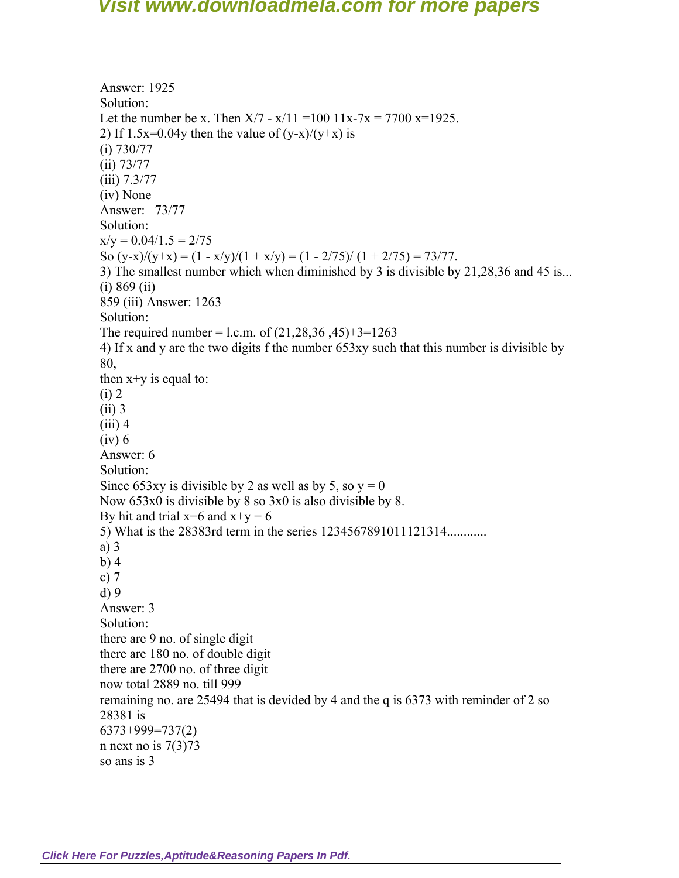Answer: 1925 Solution: Let the number be x. Then  $X/7 - x/11 = 100$   $11x-7x = 7700$   $x=1925$ . 2) If  $1.5x=0.04y$  then the value of  $(y-x)/(y+x)$  is (i) 730/77 (ii) 73/77 (iii) 7.3/77 (iv) None Answer: 73/77 Solution:  $x/y = 0.04/1.5 = 2/75$ So  $(y-x)/(y+x) = (1 - x/y)/(1 + x/y) = (1 - 2/75)/(1 + 2/75) = 73/77$ . 3) The smallest number which when diminished by 3 is divisible by 21,28,36 and 45 is... (i) 869 (ii) 859 (iii) Answer: 1263 Solution: The required number = l.c.m. of  $(21,28,36,45)+3=1263$ 4) If x and y are the two digits f the number 653xy such that this number is divisible by 80, then  $x+y$  is equal to: (i) 2 (ii) 3  $(iii)$  4 (iv) 6 Answer: 6 Solution: Since 653xy is divisible by 2 as well as by 5, so  $y = 0$ Now 653x0 is divisible by 8 so 3x0 is also divisible by 8. By hit and trial  $x=6$  and  $x+y=6$ 5) What is the 28383rd term in the series 1234567891011121314............ a) 3 b) 4 c) 7 d) 9 Answer: 3 Solution: there are 9 no. of single digit there are 180 no. of double digit there are 2700 no. of three digit now total 2889 no. till 999 remaining no. are 25494 that is devided by 4 and the q is 6373 with reminder of 2 so 28381 is 6373+999=737(2) n next no is  $7(3)73$ so ans is 3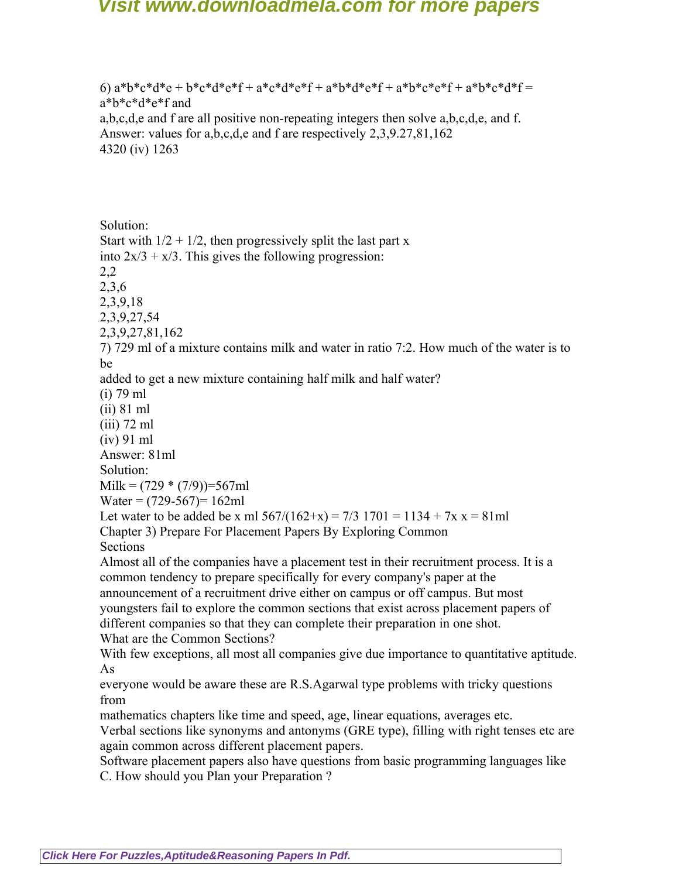6)  $a^*b^*c^*d^*e + b^*c^*d^*e^*f + a^*c^*d^*e^*f + a^*b^*d^*e^*f + a^*b^*c^*e^*f + a^*b^*c^*d^*f =$ a\*b\*c\*d\*e\*f and a,b,c,d,e and f are all positive non-repeating integers then solve a,b,c,d,e, and f. Answer: values for a,b,c,d,e and f are respectively 2,3,9.27,81,162 4320 (iv) 1263

Solution:

Start with  $1/2 + 1/2$ , then progressively split the last part x into  $2x/3 + x/3$ . This gives the following progression: 2,2 2,3,6 2,3,9,18 2,3,9,27,54 2,3,9,27,81,162 7) 729 ml of a mixture contains milk and water in ratio 7:2. How much of the water is to be added to get a new mixture containing half milk and half water? (i) 79 ml (ii) 81 ml (iii) 72 ml (iv) 91 ml Answer: 81ml Solution: Milk =  $(729 * (7/9))$ =567ml Water =  $(729-567)=162$ ml Let water to be added be x ml  $567/(162+x) = 7/3$  1701 = 1134 + 7x x = 81ml Chapter 3) Prepare For Placement Papers By Exploring Common Sections Almost all of the companies have a placement test in their recruitment process. It is a common tendency to prepare specifically for every company's paper at the announcement of a recruitment drive either on campus or off campus. But most youngsters fail to explore the common sections that exist across placement papers of different companies so that they can complete their preparation in one shot. What are the Common Sections? With few exceptions, all most all companies give due importance to quantitative aptitude. As everyone would be aware these are R.S.Agarwal type problems with tricky questions

from

mathematics chapters like time and speed, age, linear equations, averages etc.

Verbal sections like synonyms and antonyms (GRE type), filling with right tenses etc are again common across different placement papers.

Software placement papers also have questions from basic programming languages like C. How should you Plan your Preparation ?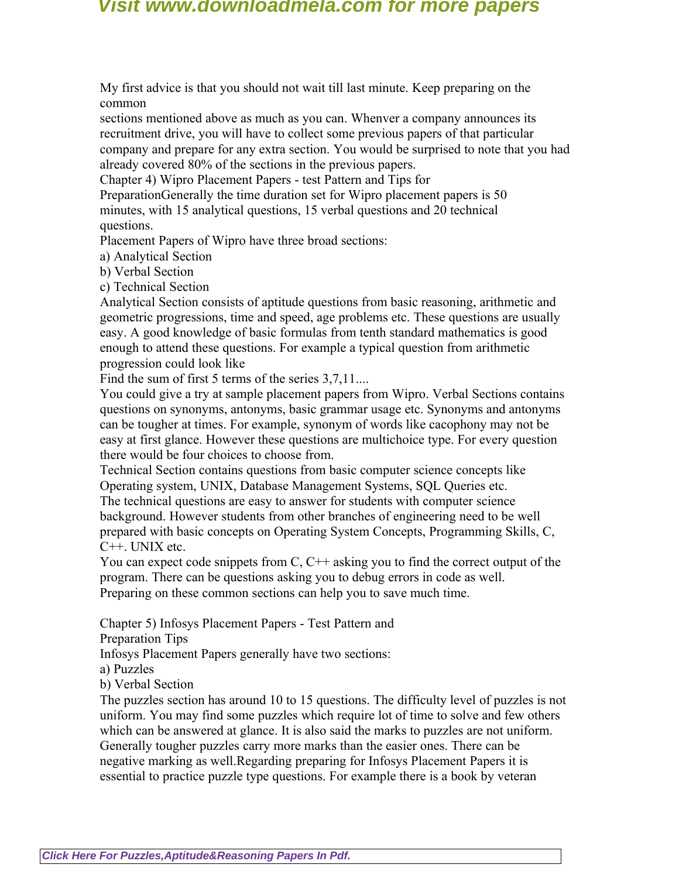My first advice is that you should not wait till last minute. Keep preparing on the common

sections mentioned above as much as you can. Whenver a company announces its recruitment drive, you will have to collect some previous papers of that particular company and prepare for any extra section. You would be surprised to note that you had already covered 80% of the sections in the previous papers.

Chapter 4) Wipro Placement Papers - test Pattern and Tips for

PreparationGenerally the time duration set for Wipro placement papers is 50 minutes, with 15 analytical questions, 15 verbal questions and 20 technical questions.

Placement Papers of Wipro have three broad sections:

a) Analytical Section

b) Verbal Section

c) Technical Section

Analytical Section consists of aptitude questions from basic reasoning, arithmetic and geometric progressions, time and speed, age problems etc. These questions are usually easy. A good knowledge of basic formulas from tenth standard mathematics is good enough to attend these questions. For example a typical question from arithmetic progression could look like

Find the sum of first 5 terms of the series 3,7,11...

You could give a try at sample placement papers from Wipro. Verbal Sections contains questions on synonyms, antonyms, basic grammar usage etc. Synonyms and antonyms can be tougher at times. For example, synonym of words like cacophony may not be easy at first glance. However these questions are multichoice type. For every question there would be four choices to choose from.

Technical Section contains questions from basic computer science concepts like Operating system, UNIX, Database Management Systems, SQL Queries etc.

The technical questions are easy to answer for students with computer science background. However students from other branches of engineering need to be well prepared with basic concepts on Operating System Concepts, Programming Skills, C, C++. UNIX etc.

You can expect code snippets from C, C<sup>++</sup> asking you to find the correct output of the program. There can be questions asking you to debug errors in code as well. Preparing on these common sections can help you to save much time.

Chapter 5) Infosys Placement Papers - Test Pattern and

Preparation Tips

Infosys Placement Papers generally have two sections:

a) Puzzles

b) Verbal Section

The puzzles section has around 10 to 15 questions. The difficulty level of puzzles is not uniform. You may find some puzzles which require lot of time to solve and few others which can be answered at glance. It is also said the marks to puzzles are not uniform. Generally tougher puzzles carry more marks than the easier ones. There can be negative marking as well.Regarding preparing for Infosys Placement Papers it is essential to practice puzzle type questions. For example there is a book by veteran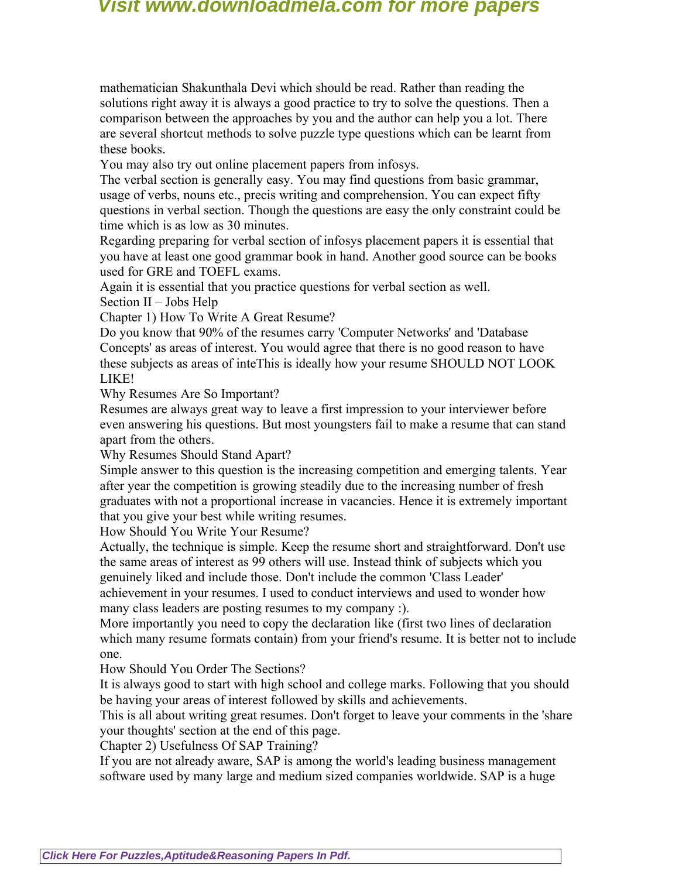mathematician Shakunthala Devi which should be read. Rather than reading the solutions right away it is always a good practice to try to solve the questions. Then a comparison between the approaches by you and the author can help you a lot. There are several shortcut methods to solve puzzle type questions which can be learnt from these books.

You may also try out online placement papers from infosys.

The verbal section is generally easy. You may find questions from basic grammar, usage of verbs, nouns etc., precis writing and comprehension. You can expect fifty questions in verbal section. Though the questions are easy the only constraint could be time which is as low as 30 minutes.

Regarding preparing for verbal section of infosys placement papers it is essential that you have at least one good grammar book in hand. Another good source can be books used for GRE and TOEFL exams.

Again it is essential that you practice questions for verbal section as well.

Section II – Jobs Help

Chapter 1) How To Write A Great Resume?

Do you know that 90% of the resumes carry 'Computer Networks' and 'Database Concepts' as areas of interest. You would agree that there is no good reason to have these subjects as areas of inteThis is ideally how your resume SHOULD NOT LOOK LIKE!

Why Resumes Are So Important?

Resumes are always great way to leave a first impression to your interviewer before even answering his questions. But most youngsters fail to make a resume that can stand apart from the others.

Why Resumes Should Stand Apart?

Simple answer to this question is the increasing competition and emerging talents. Year after year the competition is growing steadily due to the increasing number of fresh graduates with not a proportional increase in vacancies. Hence it is extremely important that you give your best while writing resumes.

How Should You Write Your Resume?

Actually, the technique is simple. Keep the resume short and straightforward. Don't use the same areas of interest as 99 others will use. Instead think of subjects which you genuinely liked and include those. Don't include the common 'Class Leader' achievement in your resumes. I used to conduct interviews and used to wonder how many class leaders are posting resumes to my company :).

More importantly you need to copy the declaration like (first two lines of declaration which many resume formats contain) from your friend's resume. It is better not to include one.

How Should You Order The Sections?

It is always good to start with high school and college marks. Following that you should be having your areas of interest followed by skills and achievements.

This is all about writing great resumes. Don't forget to leave your comments in the 'share your thoughts' section at the end of this page.

Chapter 2) Usefulness Of SAP Training?

If you are not already aware, SAP is among the world's leading business management software used by many large and medium sized companies worldwide. SAP is a huge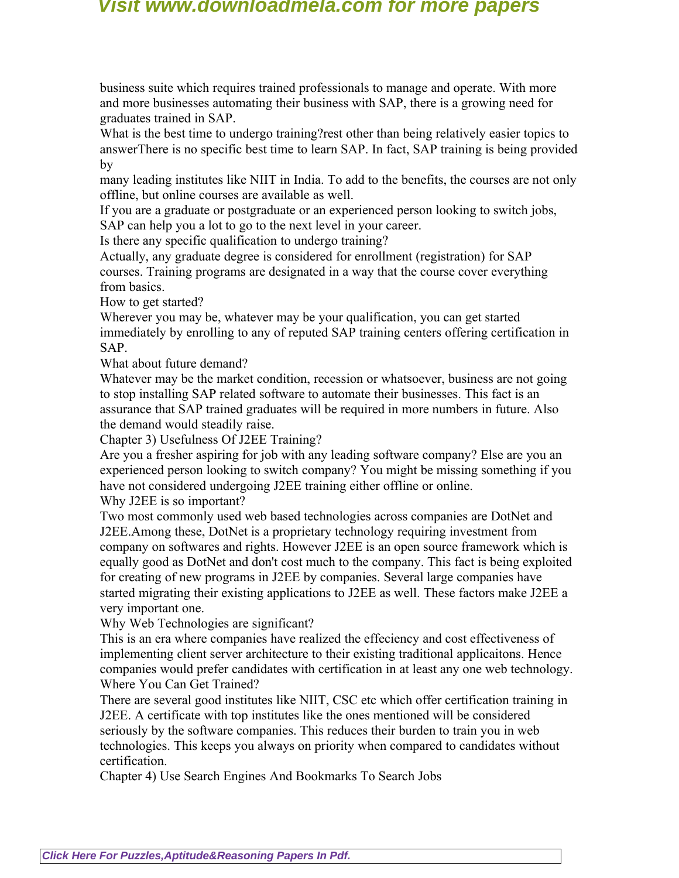business suite which requires trained professionals to manage and operate. With more and more businesses automating their business with SAP, there is a growing need for graduates trained in SAP.

What is the best time to undergo training?rest other than being relatively easier topics to answerThere is no specific best time to learn SAP. In fact, SAP training is being provided by

many leading institutes like NIIT in India. To add to the benefits, the courses are not only offline, but online courses are available as well.

If you are a graduate or postgraduate or an experienced person looking to switch jobs, SAP can help you a lot to go to the next level in your career.

Is there any specific qualification to undergo training?

Actually, any graduate degree is considered for enrollment (registration) for SAP courses. Training programs are designated in a way that the course cover everything from basics.

How to get started?

Wherever you may be, whatever may be your qualification, you can get started immediately by enrolling to any of reputed SAP training centers offering certification in SAP.

What about future demand?

Whatever may be the market condition, recession or whatsoever, business are not going to stop installing SAP related software to automate their businesses. This fact is an assurance that SAP trained graduates will be required in more numbers in future. Also the demand would steadily raise.

Chapter 3) Usefulness Of J2EE Training?

Are you a fresher aspiring for job with any leading software company? Else are you an experienced person looking to switch company? You might be missing something if you have not considered undergoing J2EE training either offline or online.

Why J2EE is so important?

Two most commonly used web based technologies across companies are DotNet and J2EE.Among these, DotNet is a proprietary technology requiring investment from company on softwares and rights. However J2EE is an open source framework which is equally good as DotNet and don't cost much to the company. This fact is being exploited for creating of new programs in J2EE by companies. Several large companies have started migrating their existing applications to J2EE as well. These factors make J2EE a very important one.

Why Web Technologies are significant?

This is an era where companies have realized the effeciency and cost effectiveness of implementing client server architecture to their existing traditional applicaitons. Hence companies would prefer candidates with certification in at least any one web technology. Where You Can Get Trained?

There are several good institutes like NIIT, CSC etc which offer certification training in J2EE. A certificate with top institutes like the ones mentioned will be considered seriously by the software companies. This reduces their burden to train you in web technologies. This keeps you always on priority when compared to candidates without certification.

Chapter 4) Use Search Engines And Bookmarks To Search Jobs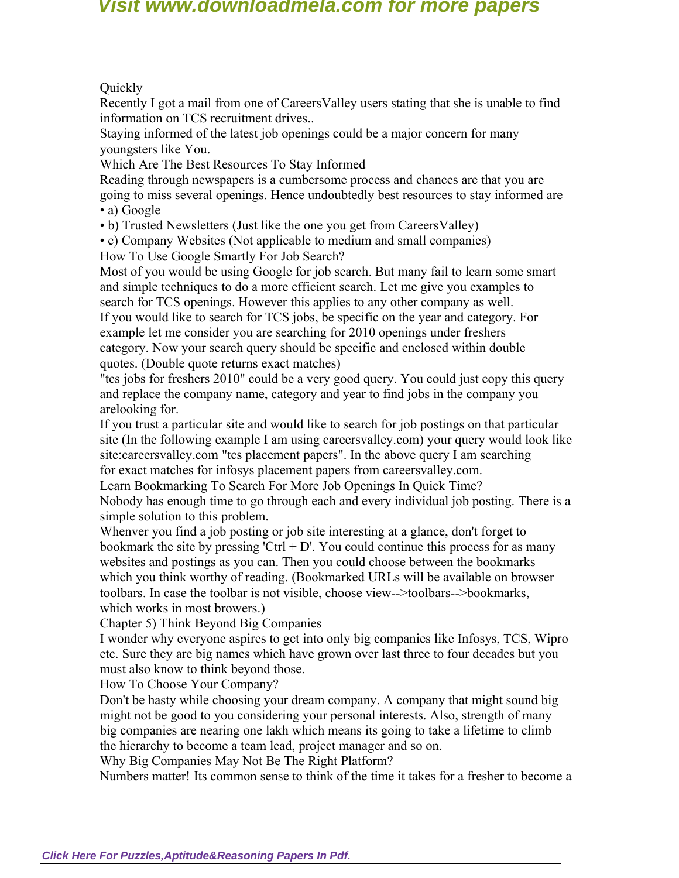**Ouickly** 

Recently I got a mail from one of CareersValley users stating that she is unable to find information on TCS recruitment drives..

Staying informed of the latest job openings could be a major concern for many youngsters like You.

Which Are The Best Resources To Stay Informed

Reading through newspapers is a cumbersome process and chances are that you are going to miss several openings. Hence undoubtedly best resources to stay informed are • a) Google

• b) Trusted Newsletters (Just like the one you get from CareersValley)

• c) Company Websites (Not applicable to medium and small companies)

How To Use Google Smartly For Job Search?

Most of you would be using Google for job search. But many fail to learn some smart and simple techniques to do a more efficient search. Let me give you examples to search for TCS openings. However this applies to any other company as well. If you would like to search for TCS jobs, be specific on the year and category. For example let me consider you are searching for 2010 openings under freshers category. Now your search query should be specific and enclosed within double quotes. (Double quote returns exact matches)

"tcs jobs for freshers 2010" could be a very good query. You could just copy this query and replace the company name, category and year to find jobs in the company you arelooking for.

If you trust a particular site and would like to search for job postings on that particular site (In the following example I am using careersvalley.com) your query would look like site:careersvalley.com "tcs placement papers". In the above query I am searching for exact matches for infosys placement papers from careersvalley.com.

Learn Bookmarking To Search For More Job Openings In Quick Time?

Nobody has enough time to go through each and every individual job posting. There is a simple solution to this problem.

Whenver you find a job posting or job site interesting at a glance, don't forget to bookmark the site by pressing 'Ctrl  $+ D'$ . You could continue this process for as many websites and postings as you can. Then you could choose between the bookmarks which you think worthy of reading. (Bookmarked URLs will be available on browser toolbars. In case the toolbar is not visible, choose view-->toolbars-->bookmarks, which works in most browers.)

Chapter 5) Think Beyond Big Companies

I wonder why everyone aspires to get into only big companies like Infosys, TCS, Wipro etc. Sure they are big names which have grown over last three to four decades but you must also know to think beyond those.

How To Choose Your Company?

Don't be hasty while choosing your dream company. A company that might sound big might not be good to you considering your personal interests. Also, strength of many big companies are nearing one lakh which means its going to take a lifetime to climb the hierarchy to become a team lead, project manager and so on.

Why Big Companies May Not Be The Right Platform?

Numbers matter! Its common sense to think of the time it takes for a fresher to become a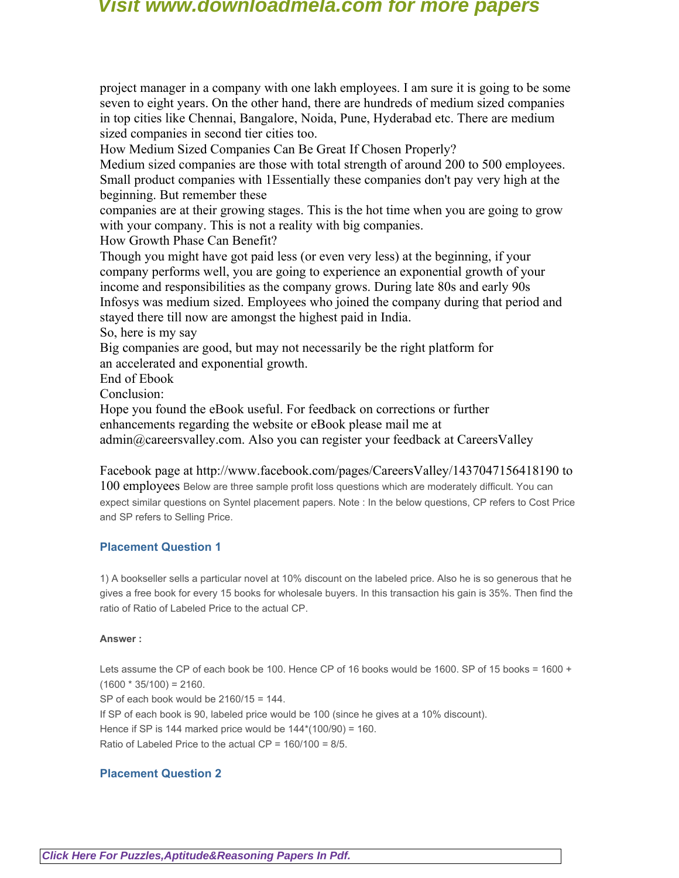project manager in a company with one lakh employees. I am sure it is going to be some seven to eight years. On the other hand, there are hundreds of medium sized companies in top cities like Chennai, Bangalore, Noida, Pune, Hyderabad etc. There are medium sized companies in second tier cities too.

How Medium Sized Companies Can Be Great If Chosen Properly?

Medium sized companies are those with total strength of around 200 to 500 employees. Small product companies with 1Essentially these companies don't pay very high at the beginning. But remember these

companies are at their growing stages. This is the hot time when you are going to grow with your company. This is not a reality with big companies.

How Growth Phase Can Benefit?

Though you might have got paid less (or even very less) at the beginning, if your company performs well, you are going to experience an exponential growth of your income and responsibilities as the company grows. During late 80s and early 90s Infosys was medium sized. Employees who joined the company during that period and stayed there till now are amongst the highest paid in India.

So, here is my say

Big companies are good, but may not necessarily be the right platform for an accelerated and exponential growth.

End of Ebook

Conclusion:

Hope you found the eBook useful. For feedback on corrections or further enhancements regarding the website or eBook please mail me at admin@careersvalley.com. Also you can register your feedback at CareersValley

Facebook page at http://www.facebook.com/pages/CareersValley/1437047156418190 to 100 employees Below are three sample profit loss questions which are moderately difficult. You can expect similar questions on Syntel placement papers. Note : In the below questions, CP refers to Cost Price and SP refers to Selling Price.

### **Placement Question 1**

1) A bookseller sells a particular novel at 10% discount on the labeled price. Also he is so generous that he gives a free book for every 15 books for wholesale buyers. In this transaction his gain is 35%. Then find the ratio of Ratio of Labeled Price to the actual CP.

### **Answer :**

Lets assume the CP of each book be 100. Hence CP of 16 books would be 1600. SP of 15 books = 1600 +  $(1600 * 35/100) = 2160.$ SP of each book would be 2160/15 = 144. If SP of each book is 90, labeled price would be 100 (since he gives at a 10% discount). Hence if SP is 144 marked price would be  $144*(100/90) = 160$ . Ratio of Labeled Price to the actual  $CP = 160/100 = 8/5$ .

### **Placement Question 2**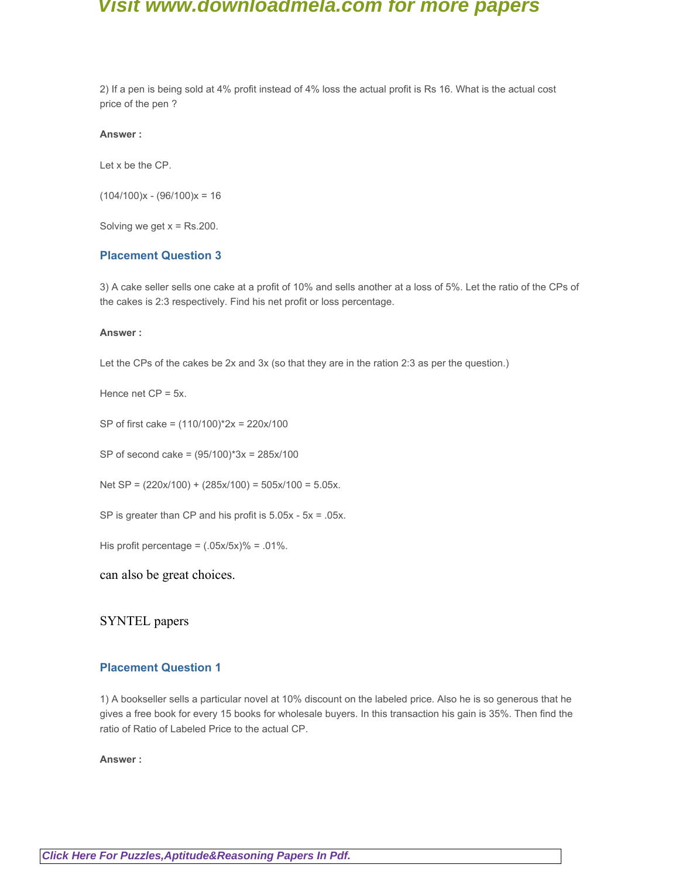2) If a pen is being sold at 4% profit instead of 4% loss the actual profit is Rs 16. What is the actual cost price of the pen ?

**Answer :**

Let x be the CP.

 $(104/100)x - (96/100)x = 16$ 

Solving we get  $x = Rs.200$ .

### **Placement Question 3**

3) A cake seller sells one cake at a profit of 10% and sells another at a loss of 5%. Let the ratio of the CPs of the cakes is 2:3 respectively. Find his net profit or loss percentage.

#### **Answer :**

Let the CPs of the cakes be 2x and 3x (so that they are in the ration 2:3 as per the question.)

Hence net  $CP = 5x$ .

SP of first cake = (110/100)\*2x = 220x/100

SP of second cake = (95/100)\*3x = 285x/100

Net SP =  $(220x/100) + (285x/100) = 505x/100 = 5.05x$ .

SP is greater than CP and his profit is 5.05x - 5x = .05x.

His profit percentage =  $(.05x/5x)%$  = .01%.

### can also be great choices.

### SYNTEL papers

### **Placement Question 1**

1) A bookseller sells a particular novel at 10% discount on the labeled price. Also he is so generous that he gives a free book for every 15 books for wholesale buyers. In this transaction his gain is 35%. Then find the ratio of Ratio of Labeled Price to the actual CP.

#### **Answer :**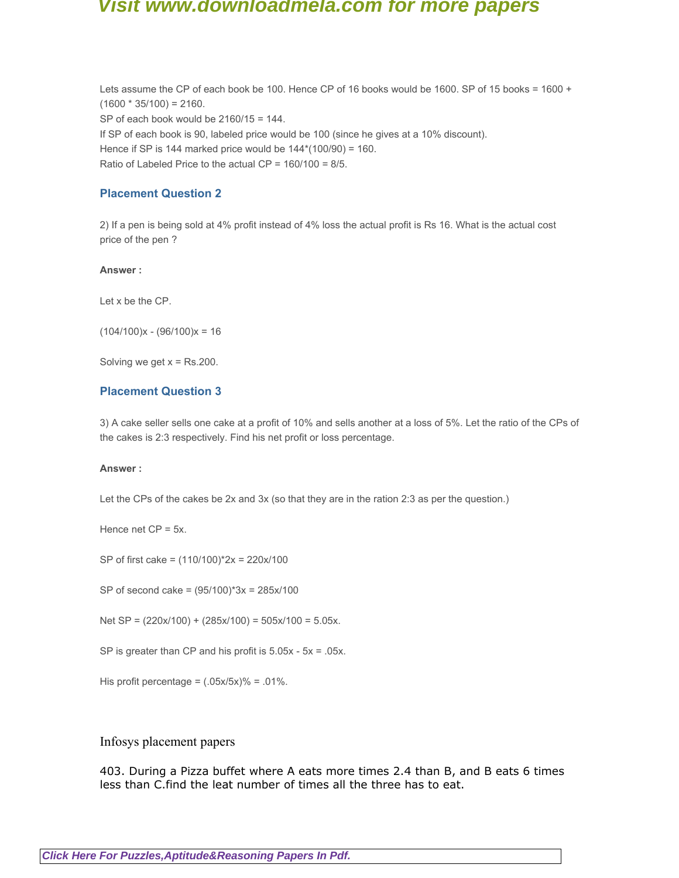Lets assume the CP of each book be 100. Hence CP of 16 books would be 1600. SP of 15 books = 1600 +  $(1600 * 35/100) = 2160.$ SP of each book would be 2160/15 = 144. If SP of each book is 90, labeled price would be 100 (since he gives at a 10% discount). Hence if SP is 144 marked price would be  $144*(100/90) = 160$ . Ratio of Labeled Price to the actual CP = 160/100 = 8/5.

### **Placement Question 2**

2) If a pen is being sold at 4% profit instead of 4% loss the actual profit is Rs 16. What is the actual cost price of the pen ?

#### **Answer :**

Let x be the CP.

 $(104/100)x - (96/100)x = 16$ 

Solving we get  $x = Rs.200$ .

### **Placement Question 3**

3) A cake seller sells one cake at a profit of 10% and sells another at a loss of 5%. Let the ratio of the CPs of the cakes is 2:3 respectively. Find his net profit or loss percentage.

#### **Answer :**

Let the CPs of the cakes be 2x and 3x (so that they are in the ration 2:3 as per the question.)

Hence net CP = 5x.

SP of first cake = (110/100)\*2x = 220x/100

SP of second cake = (95/100)\*3x = 285x/100

Net SP = (220x/100) + (285x/100) = 505x/100 = 5.05x.

SP is greater than CP and his profit is 5.05x - 5x = .05x.

His profit percentage =  $(.05x/5x)%$  = .01%.

### Infosys placement papers

403. During a Pizza buffet where A eats more times 2.4 than B, and B eats 6 times less than C.find the leat number of times all the three has to eat.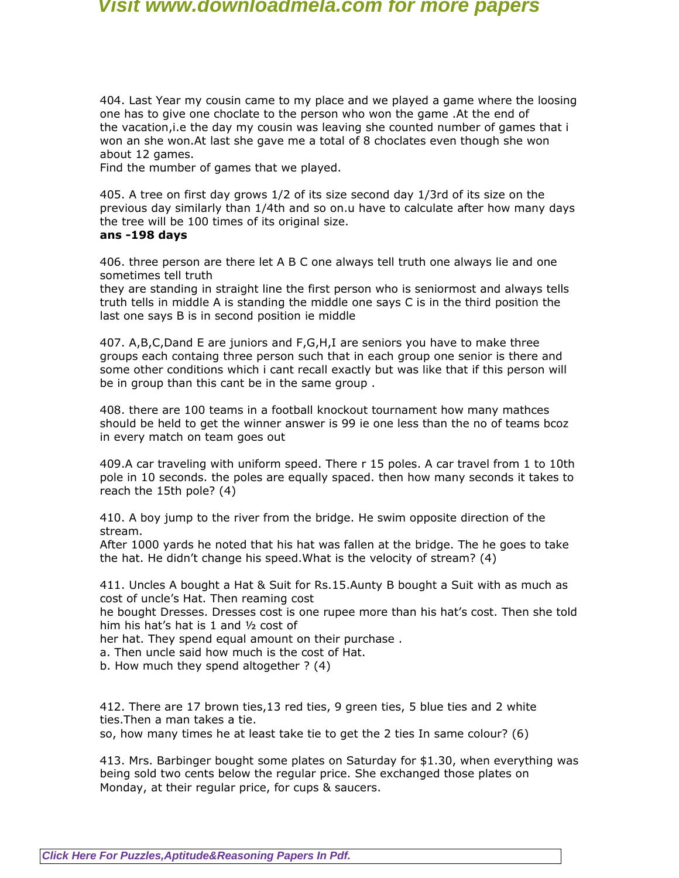404. Last Year my cousin came to my place and we played a game where the loosing one has to give one choclate to the person who won the game .At the end of the vacation,i.e the day my cousin was leaving she counted number of games that i won an she won.At last she gave me a total of 8 choclates even though she won about 12 games.

Find the mumber of games that we played.

405. A tree on first day grows 1/2 of its size second day 1/3rd of its size on the previous day similarly than 1/4th and so on.u have to calculate after how many days the tree will be 100 times of its original size.

### **ans -198 days**

406. three person are there let A B C one always tell truth one always lie and one sometimes tell truth

they are standing in straight line the first person who is seniormost and always tells truth tells in middle A is standing the middle one says C is in the third position the last one says B is in second position ie middle

407. A,B,C,Dand E are juniors and F,G,H,I are seniors you have to make three groups each containg three person such that in each group one senior is there and some other conditions which i cant recall exactly but was like that if this person will be in group than this cant be in the same group .

408. there are 100 teams in a football knockout tournament how many mathces should be held to get the winner answer is 99 ie one less than the no of teams bcoz in every match on team goes out

409.A car traveling with uniform speed. There r 15 poles. A car travel from 1 to 10th pole in 10 seconds. the poles are equally spaced. then how many seconds it takes to reach the 15th pole? (4)

410. A boy jump to the river from the bridge. He swim opposite direction of the stream.

After 1000 yards he noted that his hat was fallen at the bridge. The he goes to take the hat. He didn't change his speed.What is the velocity of stream? (4)

411. Uncles A bought a Hat & Suit for Rs.15.Aunty B bought a Suit with as much as cost of uncle's Hat. Then reaming cost

he bought Dresses. Dresses cost is one rupee more than his hat's cost. Then she told him his hat's hat is 1 and ½ cost of

her hat. They spend equal amount on their purchase .

a. Then uncle said how much is the cost of Hat.

b. How much they spend altogether ? (4)

412. There are 17 brown ties,13 red ties, 9 green ties, 5 blue ties and 2 white ties.Then a man takes a tie.

so, how many times he at least take tie to get the 2 ties In same colour? (6)

413. Mrs. Barbinger bought some plates on Saturday for \$1.30, when everything was being sold two cents below the regular price. She exchanged those plates on Monday, at their regular price, for cups & saucers.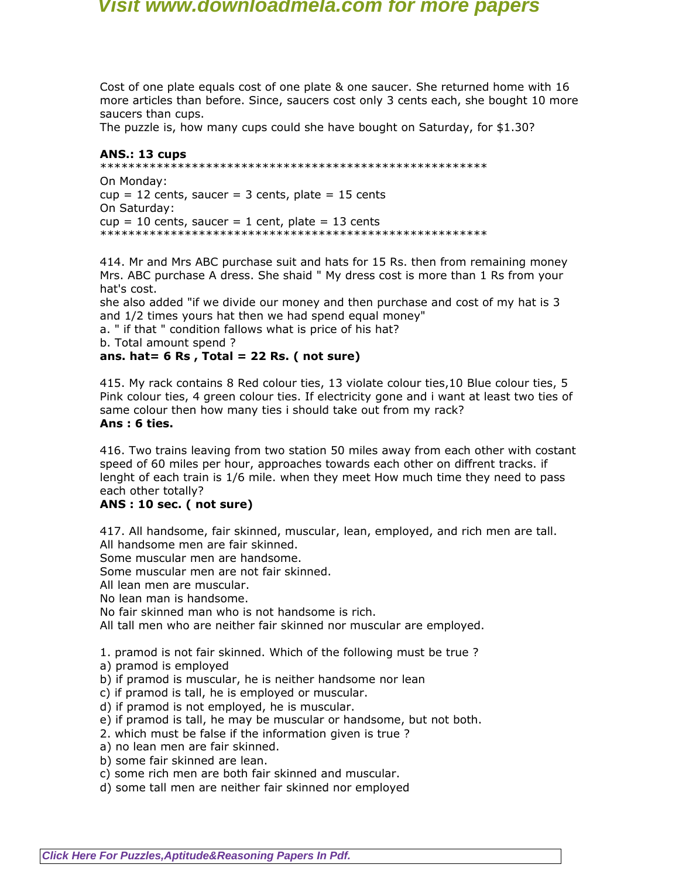Cost of one plate equals cost of one plate & one saucer. She returned home with 16 more articles than before. Since, saucers cost only 3 cents each, she bought 10 more saucers than cups.

The puzzle is, how many cups could she have bought on Saturday, for \$1.30?

### **ANS.: 13 cups**

```
*******************************************************
```
On Monday:  $cup = 12$  cents, saucer = 3 cents, plate = 15 cents On Saturday:  $cup = 10$  cents, saucer = 1 cent, plate = 13 cents \*\*\*\*\*\*\*\*\*\*\*\*\*\*\*\*\*\*\*\*\*\*\*\*\*\*\*\*\*\*\*\*\*\*\*\*\*\*\*\*\*\*\*\*\*\*\*\*\*\*\*\*\*\*\*

414. Mr and Mrs ABC purchase suit and hats for 15 Rs. then from remaining money Mrs. ABC purchase A dress. She shaid " My dress cost is more than 1 Rs from your hat's cost.

she also added "if we divide our money and then purchase and cost of my hat is 3 and 1/2 times yours hat then we had spend equal money"

a. " if that " condition fallows what is price of his hat?

b. Total amount spend ?

### **ans. hat= 6 Rs , Total = 22 Rs. ( not sure)**

415. My rack contains 8 Red colour ties, 13 violate colour ties,10 Blue colour ties, 5 Pink colour ties, 4 green colour ties. If electricity gone and i want at least two ties of same colour then how many ties i should take out from my rack? **Ans : 6 ties.**

416. Two trains leaving from two station 50 miles away from each other with costant speed of 60 miles per hour, approaches towards each other on diffrent tracks. if lenght of each train is 1/6 mile. when they meet How much time they need to pass each other totally?

### **ANS : 10 sec. ( not sure)**

417. All handsome, fair skinned, muscular, lean, employed, and rich men are tall. All handsome men are fair skinned.

Some muscular men are handsome.

Some muscular men are not fair skinned.

All lean men are muscular.

No lean man is handsome.

No fair skinned man who is not handsome is rich.

All tall men who are neither fair skinned nor muscular are employed.

1. pramod is not fair skinned. Which of the following must be true ?

- a) pramod is employed
- b) if pramod is muscular, he is neither handsome nor lean
- c) if pramod is tall, he is employed or muscular.
- d) if pramod is not employed, he is muscular.
- e) if pramod is tall, he may be muscular or handsome, but not both.
- 2. which must be false if the information given is true ?
- a) no lean men are fair skinned.
- b) some fair skinned are lean.
- c) some rich men are both fair skinned and muscular.
- d) some tall men are neither fair skinned nor employed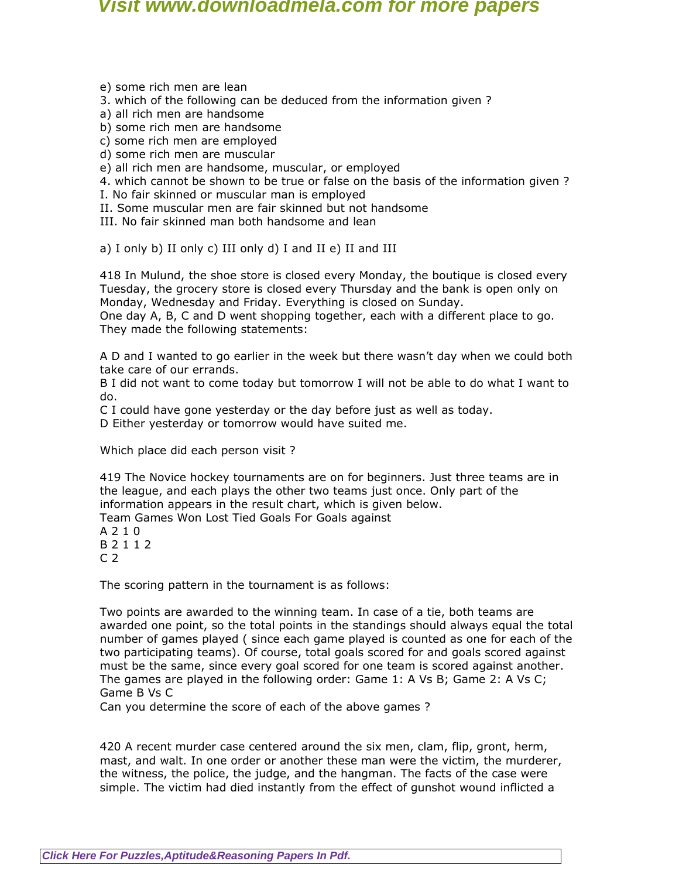e) some rich men are lean

3. which of the following can be deduced from the information given ?

a) all rich men are handsome

b) some rich men are handsome

c) some rich men are employed

d) some rich men are muscular

e) all rich men are handsome, muscular, or employed

4. which cannot be shown to be true or false on the basis of the information given ?

I. No fair skinned or muscular man is employed

II. Some muscular men are fair skinned but not handsome

III. No fair skinned man both handsome and lean

a) I only b) II only c) III only d) I and II e) II and III

418 In Mulund, the shoe store is closed every Monday, the boutique is closed every Tuesday, the grocery store is closed every Thursday and the bank is open only on Monday, Wednesday and Friday. Everything is closed on Sunday.

One day A, B, C and D went shopping together, each with a different place to go. They made the following statements:

A D and I wanted to go earlier in the week but there wasn't day when we could both take care of our errands.

B I did not want to come today but tomorrow I will not be able to do what I want to do.

C I could have gone yesterday or the day before just as well as today.

D Either yesterday or tomorrow would have suited me.

Which place did each person visit ?

419 The Novice hockey tournaments are on for beginners. Just three teams are in the league, and each plays the other two teams just once. Only part of the information appears in the result chart, which is given below.

Team Games Won Lost Tied Goals For Goals against

A 2 1 0 B 2 1 1 2  $C<sub>2</sub>$ 

The scoring pattern in the tournament is as follows:

Two points are awarded to the winning team. In case of a tie, both teams are awarded one point, so the total points in the standings should always equal the total number of games played ( since each game played is counted as one for each of the two participating teams). Of course, total goals scored for and goals scored against must be the same, since every goal scored for one team is scored against another. The games are played in the following order: Game 1: A Vs B; Game 2: A Vs C; Game B Vs C

Can you determine the score of each of the above games ?

420 A recent murder case centered around the six men, clam, flip, gront, herm, mast, and walt. In one order or another these man were the victim, the murderer, the witness, the police, the judge, and the hangman. The facts of the case were simple. The victim had died instantly from the effect of gunshot wound inflicted a

**[Click Here For Puzzles,Aptitude&Reasoning Papers In Pdf.](http://downloadmela.com/pages/aptitude/aptitude-puzzles-logicalreasoning.html)**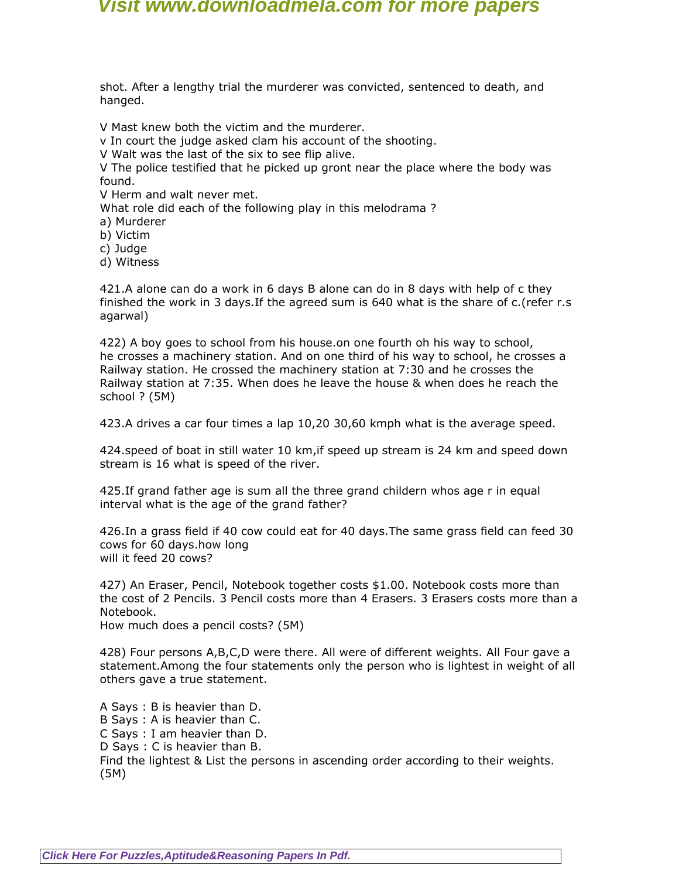shot. After a lengthy trial the murderer was convicted, sentenced to death, and hanged.

V Mast knew both the victim and the murderer.

v In court the judge asked clam his account of the shooting.

V Walt was the last of the six to see flip alive.

V The police testified that he picked up gront near the place where the body was found.

V Herm and walt never met.

What role did each of the following play in this melodrama ?

a) Murderer

b) Victim

c) Judge

d) Witness

421.A alone can do a work in 6 days B alone can do in 8 days with help of c they finished the work in 3 days.If the agreed sum is 640 what is the share of c.(refer r.s agarwal)

422) A boy goes to school from his house.on one fourth oh his way to school, he crosses a machinery station. And on one third of his way to school, he crosses a Railway station. He crossed the machinery station at 7:30 and he crosses the Railway station at 7:35. When does he leave the house & when does he reach the school ? (5M)

423.A drives a car four times a lap 10,20 30,60 kmph what is the average speed.

424.speed of boat in still water 10 km,if speed up stream is 24 km and speed down stream is 16 what is speed of the river.

425.If grand father age is sum all the three grand childern whos age r in equal interval what is the age of the grand father?

426.In a grass field if 40 cow could eat for 40 days.The same grass field can feed 30 cows for 60 days.how long will it feed 20 cows?

427) An Eraser, Pencil, Notebook together costs \$1.00. Notebook costs more than the cost of 2 Pencils. 3 Pencil costs more than 4 Erasers. 3 Erasers costs more than a Notebook.

How much does a pencil costs? (5M)

428) Four persons A,B,C,D were there. All were of different weights. All Four gave a statement.Among the four statements only the person who is lightest in weight of all others gave a true statement.

A Says : B is heavier than D. B Says : A is heavier than C. C Says : I am heavier than D. D Says : C is heavier than B. Find the lightest & List the persons in ascending order according to their weights. (5M)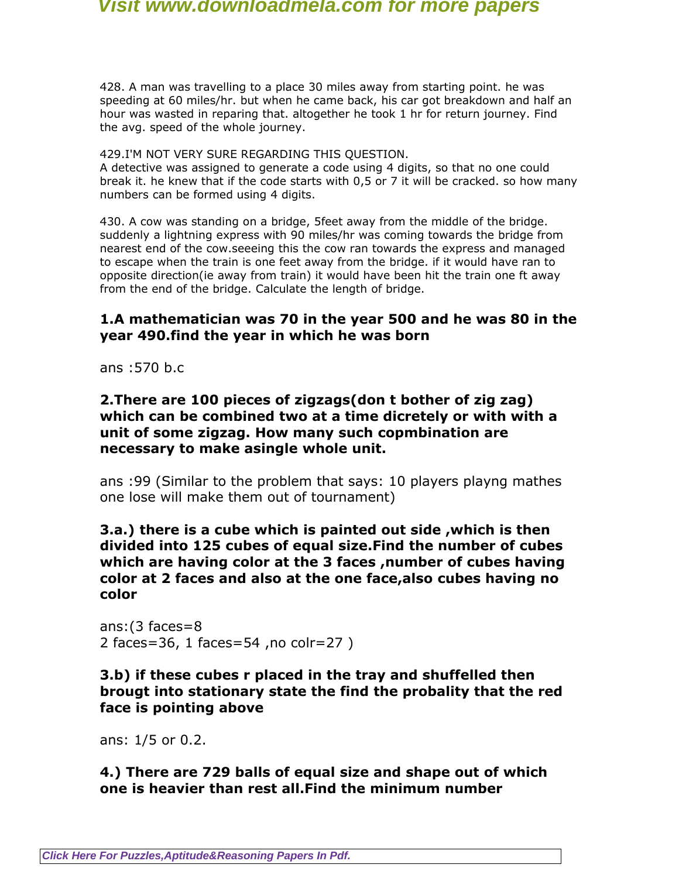428. A man was travelling to a place 30 miles away from starting point. he was speeding at 60 miles/hr. but when he came back, his car got breakdown and half an hour was wasted in reparing that. altogether he took 1 hr for return journey. Find the avg. speed of the whole journey.

429.I'M NOT VERY SURE REGARDING THIS QUESTION.

A detective was assigned to generate a code using 4 digits, so that no one could break it. he knew that if the code starts with 0,5 or 7 it will be cracked. so how many numbers can be formed using 4 digits.

430. A cow was standing on a bridge, 5feet away from the middle of the bridge. suddenly a lightning express with 90 miles/hr was coming towards the bridge from nearest end of the cow.seeeing this the cow ran towards the express and managed to escape when the train is one feet away from the bridge. if it would have ran to opposite direction(ie away from train) it would have been hit the train one ft away from the end of the bridge. Calculate the length of bridge.

## **1.A mathematician was 70 in the year 500 and he was 80 in the year 490.find the year in which he was born**

ans :570 b.c

### **2.There are 100 pieces of zigzags(don t bother of zig zag) which can be combined two at a time dicretely or with with a unit of some zigzag. How many such copmbination are necessary to make asingle whole unit.**

ans :99 (Similar to the problem that says: 10 players playng mathes one lose will make them out of tournament)

**3.a.) there is a cube which is painted out side ,which is then divided into 125 cubes of equal size.Find the number of cubes which are having color at the 3 faces ,number of cubes having color at 2 faces and also at the one face,also cubes having no color**

ans:(3 faces=8 2 faces=36, 1 faces=54 ,no colr=27 )

## **3.b) if these cubes r placed in the tray and shuffelled then brougt into stationary state the find the probality that the red face is pointing above**

ans: 1/5 or 0.2.

## **4.) There are 729 balls of equal size and shape out of which one is heavier than rest all.Find the minimum number**